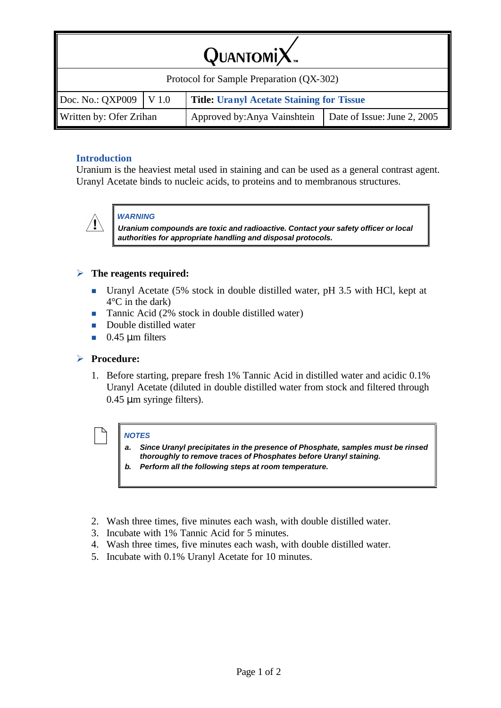| QUANTOMIX. |
|------------|
|------------|

| Protocol for Sample Preparation (QX-302) |  |                                                           |  |  |  |
|------------------------------------------|--|-----------------------------------------------------------|--|--|--|
| $\vert$ Doc. No.: QXP009 $\vert$ V 1.0   |  | <b>Title: Uranyl Acetate Staining for Tissue</b>          |  |  |  |
| Written by: Ofer Zrihan                  |  | Approved by:Anya Vainshtein   Date of Issue: June 2, 2005 |  |  |  |

# **Introduction**

Uranium is the heaviest metal used in staining and can be used as a general contrast agent. Uranyl Acetate binds to nucleic acids, to proteins and to membranous structures.



## *WARNING*

*Uranium compounds are toxic and radioactive. Contact your safety officer or local authorities for appropriate handling and disposal protocols.* 

## ÿ **The reagents required:**

- <sup>n</sup> Uranyl Acetate (5% stock in double distilled water, pH 3.5 with HCl, kept at 4°C in the dark)
- **n** Tannic Acid  $(2\% \text{ stock in double distilled water})$
- **n** Double distilled water
- $\blacksquare$  0.45 μm filters

#### ÿ **Procedure:**

1. Before starting, prepare fresh 1% Tannic Acid in distilled water and acidic 0.1% Uranyl Acetate (diluted in double distilled water from stock and filtered through 0.45 μm syringe filters).



- / *NOTES a. Since Uranyl precipitates in the presence of Phosphate, samples must be rinsed thoroughly to remove traces of Phosphates before Uranyl staining.*
	- *b. Perform all the following steps at room temperature.*
- 2. Wash three times, five minutes each wash, with double distilled water.
- 3. Incubate with 1% Tannic Acid for 5 minutes.
- 4. Wash three times, five minutes each wash, with double distilled water.
- 5. Incubate with 0.1% Uranyl Acetate for 10 minutes.